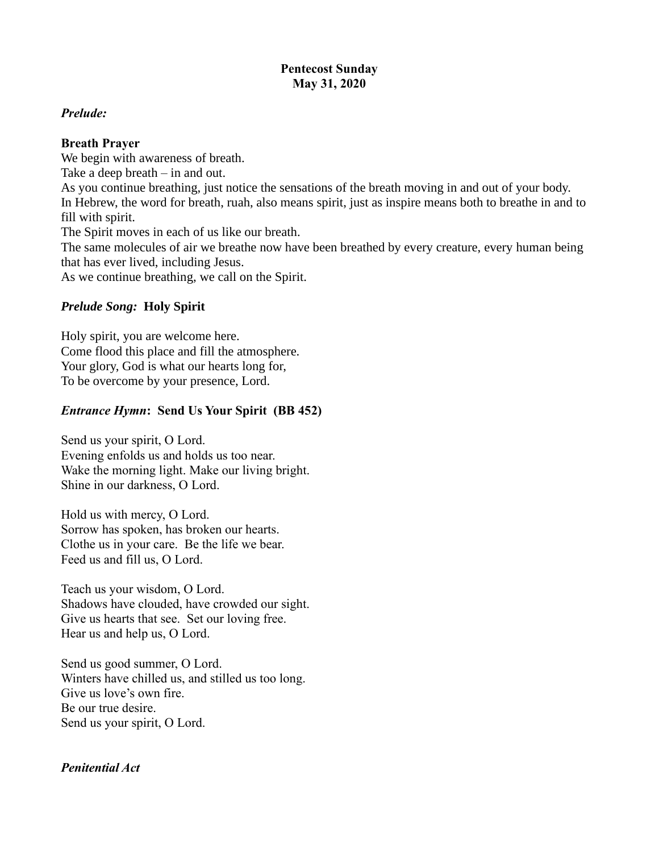# **Pentecost Sunday May 31, 2020**

#### *Prelude:*

#### **Breath Prayer**

We begin with awareness of breath. Take a deep breath – in and out. As you continue breathing, just notice the sensations of the breath moving in and out of your body. In Hebrew, the word for breath, ruah, also means spirit, just as inspire means both to breathe in and to fill with spirit. The Spirit moves in each of us like our breath. The same molecules of air we breathe now have been breathed by every creature, every human being that has ever lived, including Jesus. As we continue breathing, we call on the Spirit.

### *Prelude Song:* **Holy Spirit**

Holy spirit, you are welcome here. Come flood this place and fill the atmosphere. Your glory, God is what our hearts long for, To be overcome by your presence, Lord.

### *Entrance Hymn***: Send Us Your Spirit (BB 452)**

Send us your spirit, O Lord. Evening enfolds us and holds us too near. Wake the morning light. Make our living bright. Shine in our darkness, O Lord.

Hold us with mercy, O Lord. Sorrow has spoken, has broken our hearts. Clothe us in your care. Be the life we bear. Feed us and fill us, O Lord.

Teach us your wisdom, O Lord. Shadows have clouded, have crowded our sight. Give us hearts that see. Set our loving free. Hear us and help us, O Lord.

Send us good summer, O Lord. Winters have chilled us, and stilled us too long. Give us love's own fire. Be our true desire. Send us your spirit, O Lord.

### *Penitential Act*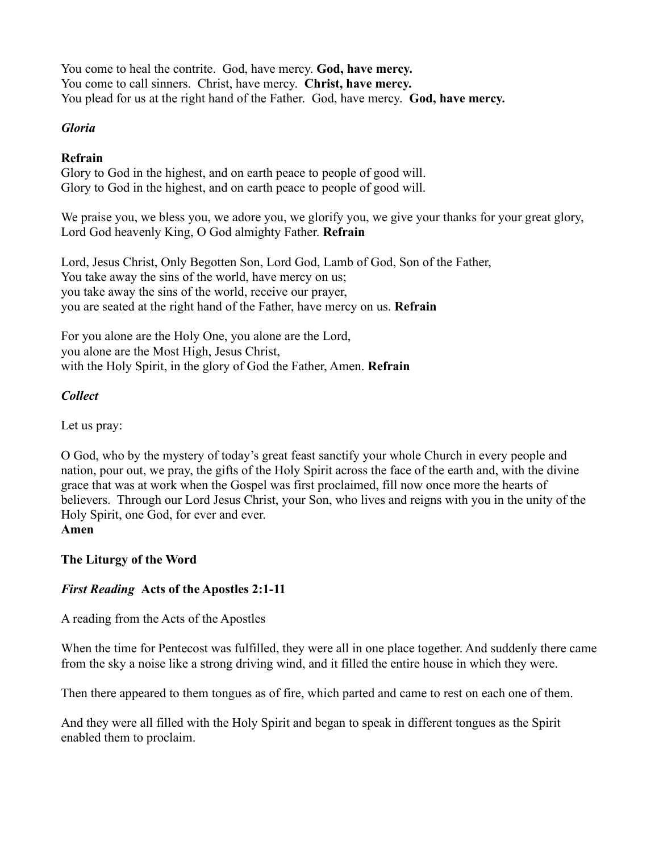You come to heal the contrite. God, have mercy. **God, have mercy.** You come to call sinners. Christ, have mercy. **Christ, have mercy.** You plead for us at the right hand of the Father. God, have mercy. **God, have mercy.**

### *Gloria*

# **Refrain**

Glory to God in the highest, and on earth peace to people of good will. Glory to God in the highest, and on earth peace to people of good will.

We praise you, we bless you, we adore you, we glorify you, we give your thanks for your great glory, Lord God heavenly King, O God almighty Father. **Refrain**

Lord, Jesus Christ, Only Begotten Son, Lord God, Lamb of God, Son of the Father, You take away the sins of the world, have mercy on us; you take away the sins of the world, receive our prayer, you are seated at the right hand of the Father, have mercy on us. **Refrain**

For you alone are the Holy One, you alone are the Lord, you alone are the Most High, Jesus Christ, with the Holy Spirit, in the glory of God the Father, Amen. **Refrain**

# *Collect*

Let us pray:

O God, who by the mystery of today's great feast sanctify your whole Church in every people and nation, pour out, we pray, the gifts of the Holy Spirit across the face of the earth and, with the divine grace that was at work when the Gospel was first proclaimed, fill now once more the hearts of believers. Through our Lord Jesus Christ, your Son, who lives and reigns with you in the unity of the Holy Spirit, one God, for ever and ever. **Amen**

# **The Liturgy of the Word**

# *First Reading* **Acts of the Apostles 2:1-11**

A reading from the Acts of the Apostles

When the time for Pentecost was fulfilled, they were all in one place together. And suddenly there came from the sky a noise like a strong driving wind, and it filled the entire house in which they were.

Then there appeared to them tongues as of fire, which parted and came to rest on each one of them.

And they were all filled with the Holy Spirit and began to speak in different tongues as the Spirit enabled them to proclaim.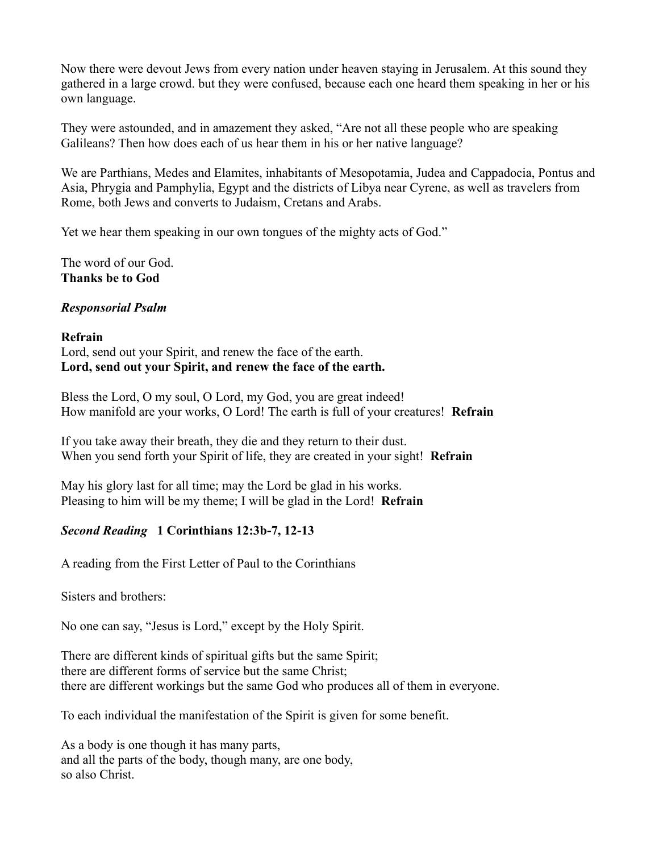Now there were devout Jews from every nation under heaven staying in Jerusalem. At this sound they gathered in a large crowd. but they were confused, because each one heard them speaking in her or his own language.

They were astounded, and in amazement they asked, "Are not all these people who are speaking Galileans? Then how does each of us hear them in his or her native language?

We are Parthians, Medes and Elamites, inhabitants of Mesopotamia, Judea and Cappadocia, Pontus and Asia, Phrygia and Pamphylia, Egypt and the districts of Libya near Cyrene, as well as travelers from Rome, both Jews and converts to Judaism, Cretans and Arabs.

Yet we hear them speaking in our own tongues of the mighty acts of God."

The word of our God. **Thanks be to God**

### *Responsorial Psalm*

#### **Refrain**

Lord, send out your Spirit, and renew the face of the earth. **Lord, send out your Spirit, and renew the face of the earth.**

Bless the Lord, O my soul, O Lord, my God, you are great indeed! How manifold are your works, O Lord! The earth is full of your creatures! **Refrain**

If you take away their breath, they die and they return to their dust. When you send forth your Spirit of life, they are created in your sight! **Refrain**

May his glory last for all time; may the Lord be glad in his works. Pleasing to him will be my theme; I will be glad in the Lord! **Refrain**

### *Second Reading* **1 Corinthians 12:3b-7, 12-13**

A reading from the First Letter of Paul to the Corinthians

Sisters and brothers:

No one can say, "Jesus is Lord," except by the Holy Spirit.

There are different kinds of spiritual gifts but the same Spirit; there are different forms of service but the same Christ; there are different workings but the same God who produces all of them in everyone.

To each individual the manifestation of the Spirit is given for some benefit.

As a body is one though it has many parts, and all the parts of the body, though many, are one body, so also Christ.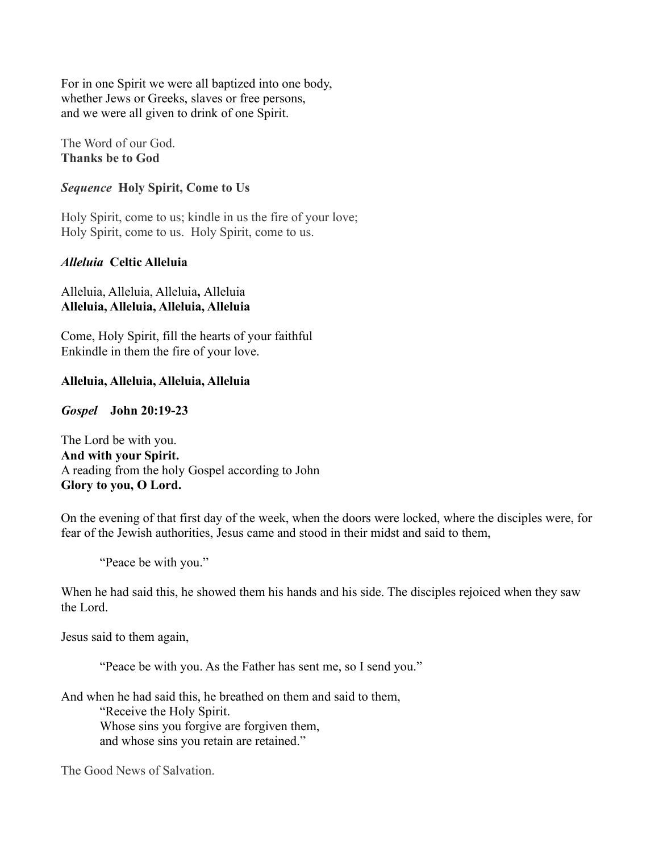For in one Spirit we were all baptized into one body, whether Jews or Greeks, slaves or free persons, and we were all given to drink of one Spirit.

The Word of our God. **Thanks be to God**

### *Sequence* **Holy Spirit, Come to Us**

Holy Spirit, come to us; kindle in us the fire of your love; Holy Spirit, come to us. Holy Spirit, come to us.

#### *Alleluia* **Celtic Alleluia**

Alleluia, Alleluia, Alleluia**,** Alleluia **Alleluia, Alleluia, Alleluia, Alleluia**

Come, Holy Spirit, fill the hearts of your faithful Enkindle in them the fire of your love.

#### **Alleluia, Alleluia, Alleluia, Alleluia**

#### *Gospel* **John 20:19-23**

The Lord be with you. **And with your Spirit.** A reading from the holy Gospel according to John **Glory to you, O Lord.**

On the evening of that first day of the week, when the doors were locked, where the disciples were, for fear of the Jewish authorities, Jesus came and stood in their midst and said to them,

"Peace be with you."

When he had said this, he showed them his hands and his side. The disciples rejoiced when they saw the Lord.

Jesus said to them again,

"Peace be with you. As the Father has sent me, so I send you."

And when he had said this, he breathed on them and said to them, "Receive the Holy Spirit. Whose sins you forgive are forgiven them, and whose sins you retain are retained."

The Good News of Salvation.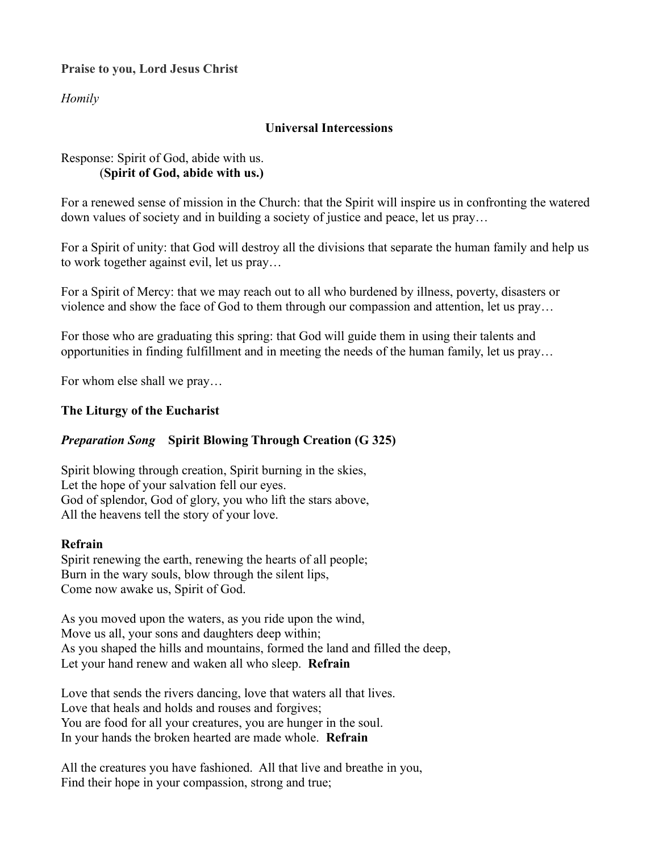#### **Praise to you, Lord Jesus Christ**

*Homily*

### **Universal Intercessions**

### Response: Spirit of God, abide with us. (**Spirit of God, abide with us.)**

For a renewed sense of mission in the Church: that the Spirit will inspire us in confronting the watered down values of society and in building a society of justice and peace, let us pray…

For a Spirit of unity: that God will destroy all the divisions that separate the human family and help us to work together against evil, let us pray…

For a Spirit of Mercy: that we may reach out to all who burdened by illness, poverty, disasters or violence and show the face of God to them through our compassion and attention, let us pray…

For those who are graduating this spring: that God will guide them in using their talents and opportunities in finding fulfillment and in meeting the needs of the human family, let us pray…

For whom else shall we pray…

### **The Liturgy of the Eucharist**

### *Preparation Song* **Spirit Blowing Through Creation (G 325)**

Spirit blowing through creation, Spirit burning in the skies, Let the hope of your salvation fell our eyes. God of splendor, God of glory, you who lift the stars above, All the heavens tell the story of your love.

### **Refrain**

Spirit renewing the earth, renewing the hearts of all people; Burn in the wary souls, blow through the silent lips, Come now awake us, Spirit of God.

As you moved upon the waters, as you ride upon the wind, Move us all, your sons and daughters deep within; As you shaped the hills and mountains, formed the land and filled the deep, Let your hand renew and waken all who sleep. **Refrain**

Love that sends the rivers dancing, love that waters all that lives. Love that heals and holds and rouses and forgives; You are food for all your creatures, you are hunger in the soul. In your hands the broken hearted are made whole. **Refrain**

All the creatures you have fashioned. All that live and breathe in you, Find their hope in your compassion, strong and true;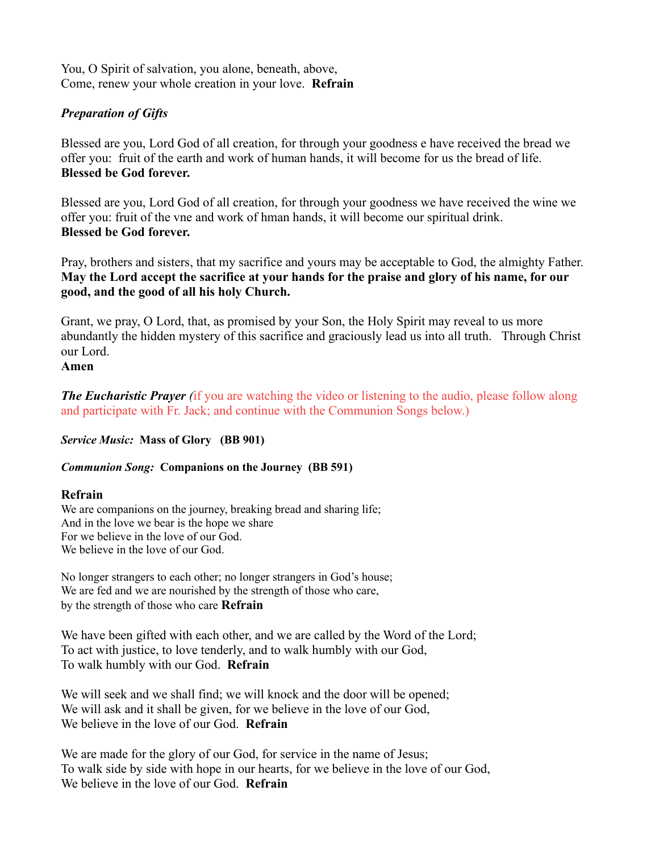You, O Spirit of salvation, you alone, beneath, above, Come, renew your whole creation in your love. **Refrain**

### *Preparation of Gifts*

Blessed are you, Lord God of all creation, for through your goodness e have received the bread we offer you: fruit of the earth and work of human hands, it will become for us the bread of life. **Blessed be God forever.**

Blessed are you, Lord God of all creation, for through your goodness we have received the wine we offer you: fruit of the vne and work of hman hands, it will become our spiritual drink. **Blessed be God forever.**

Pray, brothers and sisters, that my sacrifice and yours may be acceptable to God, the almighty Father. **May the Lord accept the sacrifice at your hands for the praise and glory of his name, for our good, and the good of all his holy Church.**

Grant, we pray, O Lord, that, as promised by your Son, the Holy Spirit may reveal to us more abundantly the hidden mystery of this sacrifice and graciously lead us into all truth. Through Christ our Lord.

#### **Amen**

*The Eucharistic Prayer* (if you are watching the video or listening to the audio, please follow along and participate with Fr. Jack; and continue with the Communion Songs below.)

### *Service Music:* **Mass of Glory (BB 901)**

### *Communion Song:* **Companions on the Journey (BB 591)**

### **Refrain**

We are companions on the journey, breaking bread and sharing life; And in the love we bear is the hope we share For we believe in the love of our God. We believe in the love of our God.

No longer strangers to each other; no longer strangers in God's house; We are fed and we are nourished by the strength of those who care, by the strength of those who care **Refrain**

We have been gifted with each other, and we are called by the Word of the Lord; To act with justice, to love tenderly, and to walk humbly with our God, To walk humbly with our God. **Refrain**

We will seek and we shall find; we will knock and the door will be opened; We will ask and it shall be given, for we believe in the love of our God, We believe in the love of our God. **Refrain**

We are made for the glory of our God, for service in the name of Jesus; To walk side by side with hope in our hearts, for we believe in the love of our God, We believe in the love of our God. **Refrain**